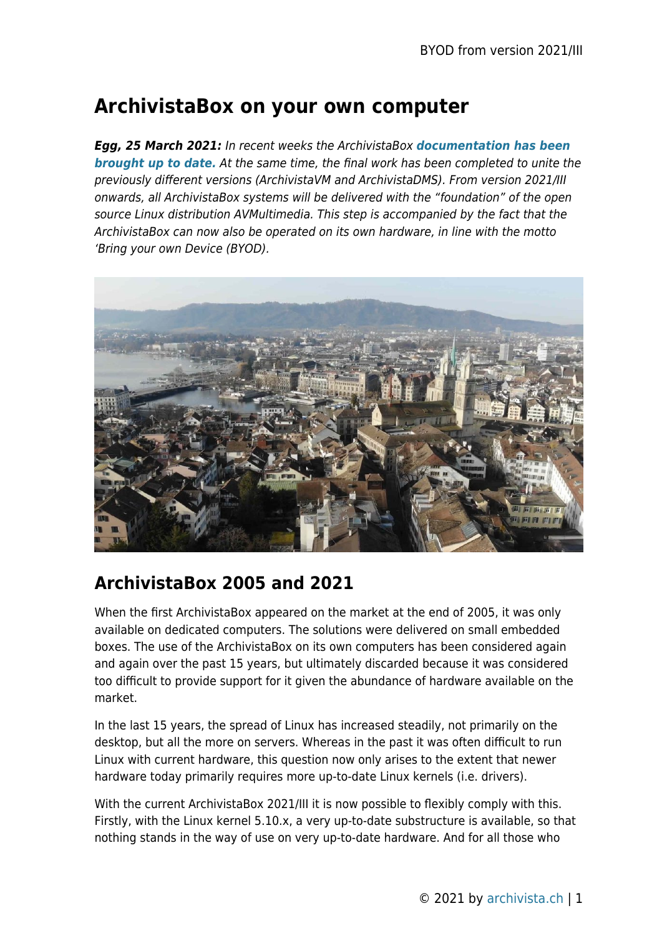# **ArchivistaBox on your own computer**

*Egg, 25 March 2021:* In recent weeks the ArchivistaBox *[documentation has been](http://archivista.ch/e2/help/) [brought up to date.](http://archivista.ch/e2/help/)* At the same time, the final work has been completed to unite the previously different versions (ArchivistaVM and ArchivistaDMS). From version 2021/III onwards, all ArchivistaBox systems will be delivered with the "foundation" of the open source Linux distribution AVMultimedia. This step is accompanied by the fact that the ArchivistaBox can now also be operated on its own hardware, in line with the motto 'Bring your own Device (BYOD).



### **ArchivistaBox 2005 and 2021**

When the first ArchivistaBox appeared on the market at the end of 2005, it was only available on dedicated computers. The solutions were delivered on small embedded boxes. The use of the ArchivistaBox on its own computers has been considered again and again over the past 15 years, but ultimately discarded because it was considered too difficult to provide support for it given the abundance of hardware available on the market.

In the last 15 years, the spread of Linux has increased steadily, not primarily on the desktop, but all the more on servers. Whereas in the past it was often difficult to run Linux with current hardware, this question now only arises to the extent that newer hardware today primarily requires more up-to-date Linux kernels (i.e. drivers).

With the current ArchivistaBox 2021/III it is now possible to flexibly comply with this. Firstly, with the Linux kernel 5.10.x, a very up-to-date substructure is available, so that nothing stands in the way of use on very up-to-date hardware. And for all those who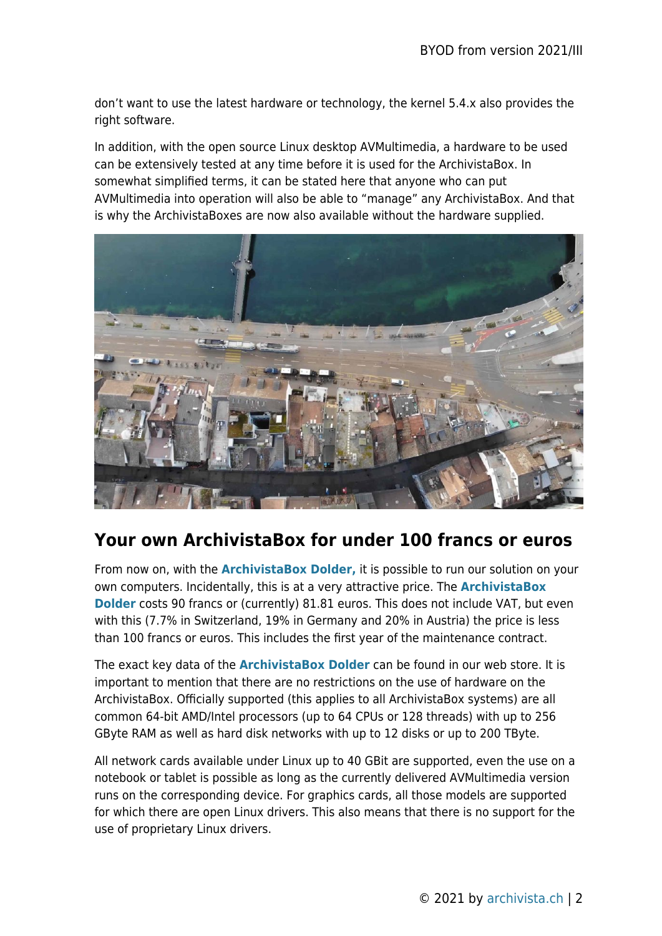don't want to use the latest hardware or technology, the kernel 5.4.x also provides the right software.

In addition, with the open source Linux desktop AVMultimedia, a hardware to be used can be extensively tested at any time before it is used for the ArchivistaBox. In somewhat simplified terms, it can be stated here that anyone who can put AVMultimedia into operation will also be able to "manage" any ArchivistaBox. And that is why the ArchivistaBoxes are now also available without the hardware supplied.



### **Your own ArchivistaBox for under 100 francs or euros**

From now on, with the **[ArchivistaBox Dolder,](http://shop.archivista.ch/oscommunity/catalog/product_info.php?cPath=21&products_id=75)** it is possible to run our solution on your own computers. Incidentally, this is at a very attractive price. The **[ArchivistaBox](http://shop.archivista.ch/oscommunity/catalog/product_info.php?cPath=21&products_id=75) [Dolder](http://shop.archivista.ch/oscommunity/catalog/product_info.php?cPath=21&products_id=75)** costs 90 francs or (currently) 81.81 euros. This does not include VAT, but even with this (7.7% in Switzerland, 19% in Germany and 20% in Austria) the price is less than 100 francs or euros. This includes the first year of the maintenance contract.

The exact key data of the **[ArchivistaBox Dolder](http://shop.archivista.ch/oscommunity/catalog/product_info.php?cPath=21&products_id=75)** can be found in our web store. It is important to mention that there are no restrictions on the use of hardware on the ArchivistaBox. Officially supported (this applies to all ArchivistaBox systems) are all common 64-bit AMD/Intel processors (up to 64 CPUs or 128 threads) with up to 256 GByte RAM as well as hard disk networks with up to 12 disks or up to 200 TByte.

All network cards available under Linux up to 40 GBit are supported, even the use on a notebook or tablet is possible as long as the currently delivered AVMultimedia version runs on the corresponding device. For graphics cards, all those models are supported for which there are open Linux drivers. This also means that there is no support for the use of proprietary Linux drivers.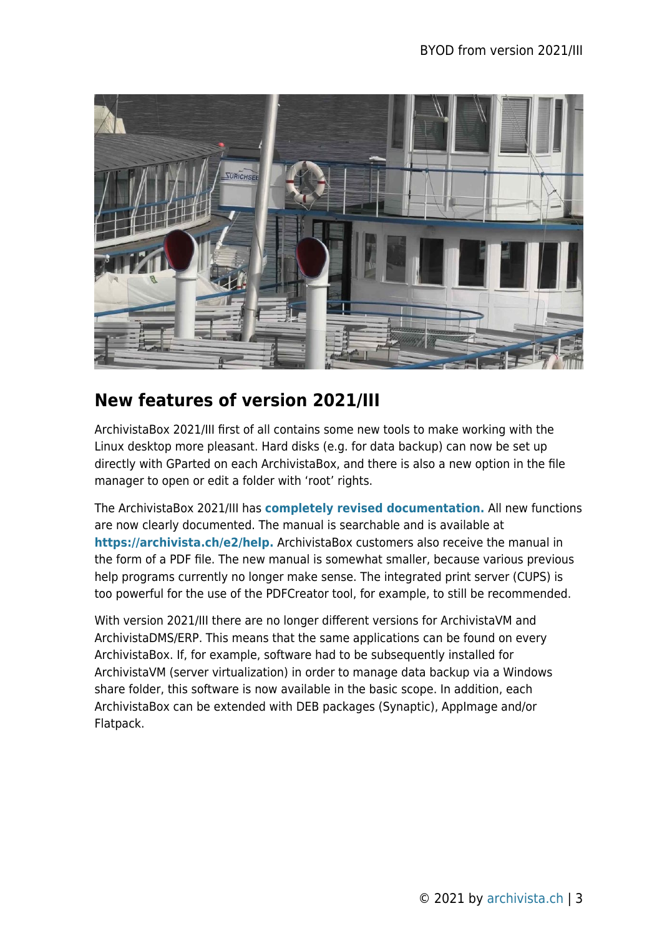

#### **New features of version 2021/III**

ArchivistaBox 2021/III first of all contains some new tools to make working with the Linux desktop more pleasant. Hard disks (e.g. for data backup) can now be set up directly with GParted on each ArchivistaBox, and there is also a new option in the file manager to open or edit a folder with 'root' rights.

The ArchivistaBox 2021/III has **[completely revised documentation.](https://archivista.ch/e2/help)** All new functions are now clearly documented. The manual is searchable and is available at **[https://archivista.ch/e2/help.](https://archivista.ch/e2/help)** ArchivistaBox customers also receive the manual in the form of a PDF file. The new manual is somewhat smaller, because various previous help programs currently no longer make sense. The integrated print server (CUPS) is too powerful for the use of the PDFCreator tool, for example, to still be recommended.

With version 2021/III there are no longer different versions for ArchivistaVM and ArchivistaDMS/ERP. This means that the same applications can be found on every ArchivistaBox. If, for example, software had to be subsequently installed for ArchivistaVM (server virtualization) in order to manage data backup via a Windows share folder, this software is now available in the basic scope. In addition, each ArchivistaBox can be extended with DEB packages (Synaptic), AppImage and/or Flatpack.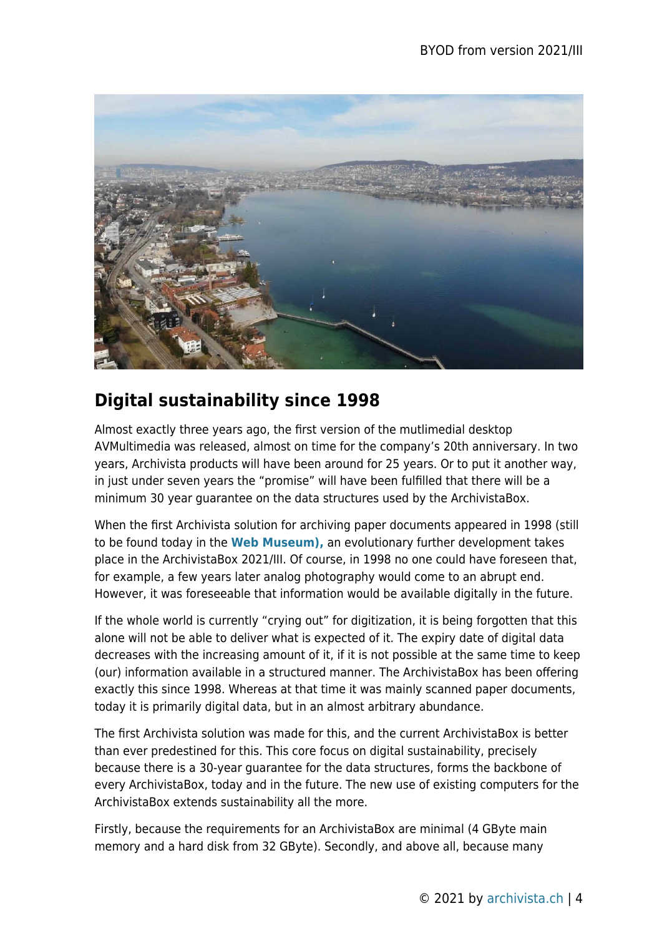

# **Digital sustainability since 1998**

Almost exactly three years ago, the first version of the mutlimedial desktop AVMultimedia was released, almost on time for the company's 20th anniversary. In two years, Archivista products will have been around for 25 years. Or to put it another way, in just under seven years the "promise" will have been fulfilled that there will be a minimum 30 year guarantee on the data structures used by the ArchivistaBox.

When the first Archivista solution for archiving paper documents appeared in 1998 (still to be found today in the **[Web Museum\),](http://www.archivista.ch/1998_10/)** an evolutionary further development takes place in the ArchivistaBox 2021/III. Of course, in 1998 no one could have foreseen that, for example, a few years later analog photography would come to an abrupt end. However, it was foreseeable that information would be available digitally in the future.

If the whole world is currently "crying out" for digitization, it is being forgotten that this alone will not be able to deliver what is expected of it. The expiry date of digital data decreases with the increasing amount of it, if it is not possible at the same time to keep (our) information available in a structured manner. The ArchivistaBox has been offering exactly this since 1998. Whereas at that time it was mainly scanned paper documents, today it is primarily digital data, but in an almost arbitrary abundance.

The first Archivista solution was made for this, and the current ArchivistaBox is better than ever predestined for this. This core focus on digital sustainability, precisely because there is a 30-year guarantee for the data structures, forms the backbone of every ArchivistaBox, today and in the future. The new use of existing computers for the ArchivistaBox extends sustainability all the more.

Firstly, because the requirements for an ArchivistaBox are minimal (4 GByte main memory and a hard disk from 32 GByte). Secondly, and above all, because many